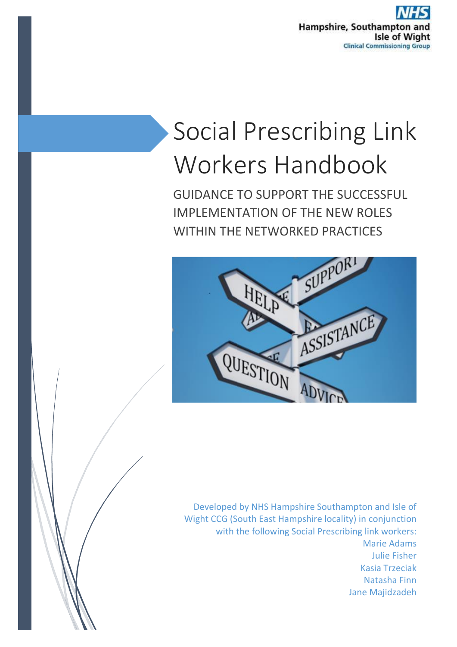

# Social Prescribing Link Workers Handbook

GUIDANCE TO SUPPORT THE SUCCESSFUL IMPLEMENTATION OF THE NEW ROLES WITHIN THE NFTWORKED PRACTICES



Developed by NHS Hampshire Southampton and Isle of Wight CCG (South East Hampshire locality) in conjunction with the following Social Prescribing link workers: Marie Adams Julie Fisher Kasia Trzeciak Natasha Finn Jane Majidzadeh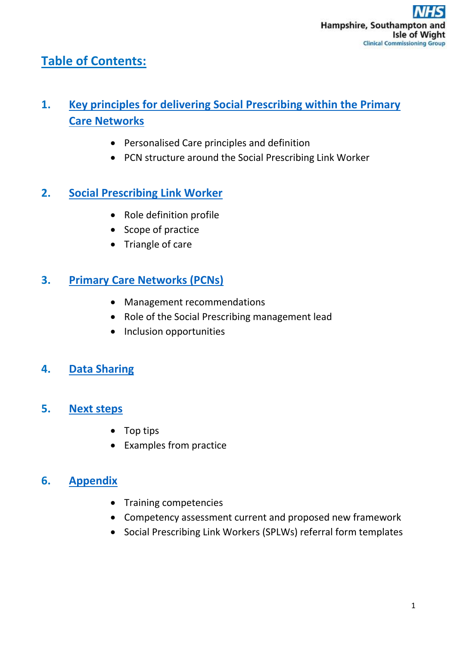# **Table of Contents:**

# **1. [Key principles for delivering Social Prescribing within the Primary](#page-2-0)  [Care Networks](#page-2-0)**

- Personalised Care principles and definition
- PCN structure around the Social Prescribing Link Worker

## **2. [Social Prescribing Link Worker](#page-4-0)**

- [Role definition profile](#page-4-1)
- [Scope of practice](#page-6-0)
- [Triangle of care](#page-6-1)

## **3. [Primary Care Networks \(PCNs\)](#page-7-0)**

- Management recommendations
- Role of the Social Prescribing management lead
- Inclusion opportunities

## **4. [Data Sharing](#page-7-1)**

## **5. [Next steps](#page-8-0)**

- Top tips
- Examples from practice

## **6. [Appendix](#page-9-0)**

- Training competencies
- Competency assessment current and proposed new framework
- Social Prescribing Link Workers (SPLWs) referral form templates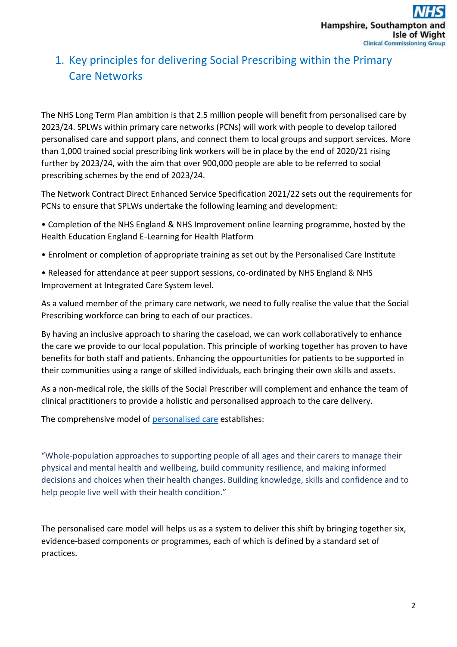# <span id="page-2-0"></span>1. Key principles for delivering Social Prescribing within the Primary Care Networks

The NHS Long Term Plan ambition is that 2.5 million people will benefit from personalised care by 2023/24. SPLWs within primary care networks (PCNs) will work with people to develop tailored personalised care and support plans, and connect them to local groups and support services. More than 1,000 trained social prescribing link workers will be in place by the end of 2020/21 rising further by 2023/24, with the aim that over 900,000 people are able to be referred to social prescribing schemes by the end of 2023/24.

The Network Contract Direct Enhanced Service Specification 2021/22 sets out the requirements for PCNs to ensure that SPLWs undertake the following learning and development:

- Completion of the NHS England & NHS Improvement online learning programme, hosted by the Health Education England E-Learning for Health Platform
- Enrolment or completion of appropriate training as set out by the Personalised Care Institute
- Released for attendance at peer support sessions, co-ordinated by NHS England & NHS Improvement at Integrated Care System level.

As a valued member of the primary care network, we need to fully realise the value that the Social Prescribing workforce can bring to each of our practices.

By having an inclusive approach to sharing the caseload, we can work collaboratively to enhance the care we provide to our local population. This principle of working together has proven to have benefits for both staff and patients. Enhancing the oppourtunities for patients to be supported in their communities using a range of skilled individuals, each bringing their own skills and assets.

As a non-medical role, the skills of the Social Prescriber will complement and enhance the team of clinical practitioners to provide a holistic and personalised approach to the care delivery.

The comprehensive model of [personalised care](https://www.england.nhs.uk/personalisedcare/upc/comprehensive-model/) establishes:

"Whole-population approaches to supporting people of all ages and their carers to manage their physical and mental health and wellbeing, build community resilience, and making informed decisions and choices when their health changes. Building knowledge, skills and confidence and to help people live well with their health condition."

The personalised care model will helps us as a system to deliver this shift by bringing together six, evidence-based components or programmes, each of which is defined by a standard set of practices.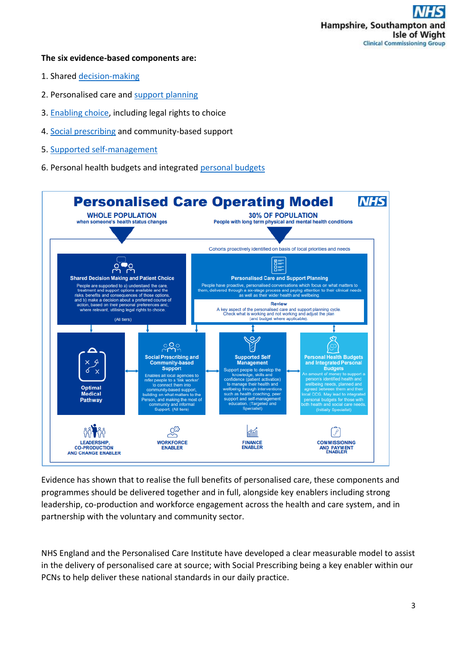#### **The six evidence-based components are:**

- 1. Shared [decision-making](https://www.personalisedcareinstitute.org.uk/mod/page/view.php?id=47#sdm)
- 2. Personalised care and [support planning](https://www.personalisedcareinstitute.org.uk/mod/page/view.php?id=47#pcsp)
- 3. [Enabling choice,](https://www.personalisedcareinstitute.org.uk/mod/page/view.php?id=47#ec) including legal rights to choice
- 4. [Social prescribing](https://www.personalisedcareinstitute.org.uk/mod/page/view.php?id=47#sp) and community-based support
- 5. [Supported self-management](https://www.england.nhs.uk/wp-content/uploads/2020/03/supported-self-management-summary-guide.pdf)
- 6. Personal health budgets and integrated [personal budgets](https://www.england.nhs.uk/personal-health-budgets/)



Evidence has shown that to realise the full benefits of personalised care, these components and programmes should be delivered together and in full, alongside key enablers including strong leadership, co-production and workforce engagement across the health and care system, and in partnership with the voluntary and community sector.

NHS England and the Personalised Care Institute have developed a clear measurable model to assist in the delivery of personalised care at source; with Social Prescribing being a key enabler within our PCNs to help deliver these national standards in our daily practice.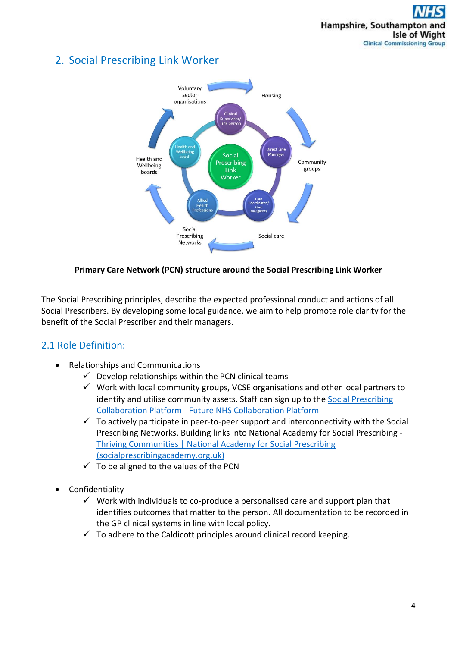## <span id="page-4-0"></span>2. Social Prescribing Link Worker



#### **Primary Care Network (PCN) structure around the Social Prescribing Link Worker**

The Social Prescribing principles, describe the expected professional conduct and actions of all Social Prescribers. By developing some local guidance, we aim to help promote role clarity for the benefit of the Social Prescriber and their managers.

## <span id="page-4-1"></span>2.1 Role Definition:

- Relationships and Communications
	- $\checkmark$  Develop relationships within the PCN clinical teams
	- $\checkmark$  Work with local community groups, VCSE organisations and other local partners to identify and utilise community assets. Staff can sign up to the Social Prescribing Collaboration Platform - [Future NHS Collaboration Platform](https://future.nhs.uk/socialprescribing/grouphome)
	- $\checkmark$  To actively participate in peer-to-peer support and interconnectivity with the Social Prescribing Networks. Building links into National Academy for Social Prescribing - [Thriving Communities | National Academy for Social Prescribing](https://socialprescribingacademy.org.uk/thriving-communities/)  [\(socialprescribingacademy.org.uk\)](https://socialprescribingacademy.org.uk/thriving-communities/)
	- $\checkmark$  To be aligned to the values of the PCN
- Confidentiality
	- $\checkmark$  Work with individuals to co-produce a personalised care and support plan that identifies outcomes that matter to the person. All documentation to be recorded in the GP clinical systems in line with local policy.
	- $\checkmark$  To adhere to the Caldicott principles around clinical record keeping.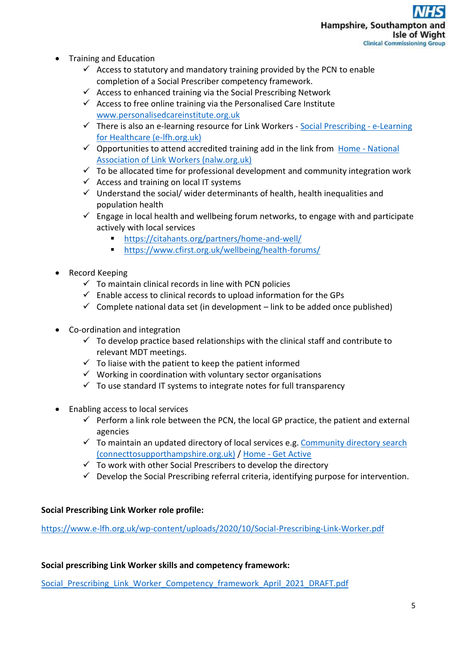- Training and Education
	- $\checkmark$  Access to statutory and mandatory training provided by the PCN to enable completion of a Social Prescriber competency framework.
	- $\checkmark$  Access to enhanced training via the Social Prescribing Network
	- $\checkmark$  Access to free online training via the Personalised Care Institute [www.personalisedcareinstitute.org.uk](https://www.personalisedcareinstitute.org.uk/mod/page/view.php?id=23)
	- $\checkmark$  There is also an e-learning resource for Link Workers [Social Prescribing -](https://www.e-lfh.org.uk/programmes/social-prescribing/) e-Learning [for Healthcare \(e-lfh.org.uk\)](https://www.e-lfh.org.uk/programmes/social-prescribing/)
	- $\checkmark$  Opportunities to attend accredited training add in the link from Home National [Association of Link Workers \(nalw.org.uk\)](https://www.nalw.org.uk/)
	- $\checkmark$  To be allocated time for professional development and community integration work
	- $\checkmark$  Access and training on local IT systems
	- $\checkmark$  Understand the social/ wider determinants of health, health inequalities and population health
	- $\checkmark$  Engage in local health and wellbeing forum networks, to engage with and participate actively with local services
		- <https://citahants.org/partners/home-and-well/>
		- <https://www.cfirst.org.uk/wellbeing/health-forums/>
- Record Keeping
	- $\checkmark$  To maintain clinical records in line with PCN policies
	- $\checkmark$  Enable access to clinical records to upload information for the GPs
	- $\checkmark$  Complete national data set (in development link to be added once published)
- Co-ordination and integration
	- $\checkmark$  To develop practice based relationships with the clinical staff and contribute to relevant MDT meetings.
	- $\checkmark$  To liaise with the patient to keep the patient informed
	- $\checkmark$  Working in coordination with voluntary sector organisations
	- $\checkmark$  To use standard IT systems to integrate notes for full transparency
- Enabling access to local services
	- $\checkmark$  Perform a link role between the PCN, the local GP practice, the patient and external agencies
	- $\checkmark$  To maintain an updated directory of local services e.g. Community directory search [\(connecttosupporthampshire.org.uk\)](https://www.connecttosupporthampshire.org.uk/directories&Type=Local) / Home - [Get Active](https://getactive.io/)
	- $\checkmark$  To work with other Social Prescribers to develop the directory
	- $\checkmark$  Develop the Social Prescribing referral criteria, identifying purpose for intervention.

#### **Social Prescribing Link Worker role profile:**

<https://www.e-lfh.org.uk/wp-content/uploads/2020/10/Social-Prescribing-Link-Worker.pdf>

#### **Social prescribing Link Worker skills and competency framework:**

Social Prescribing Link Worker Competency framework April 2021 DRAFT.pdf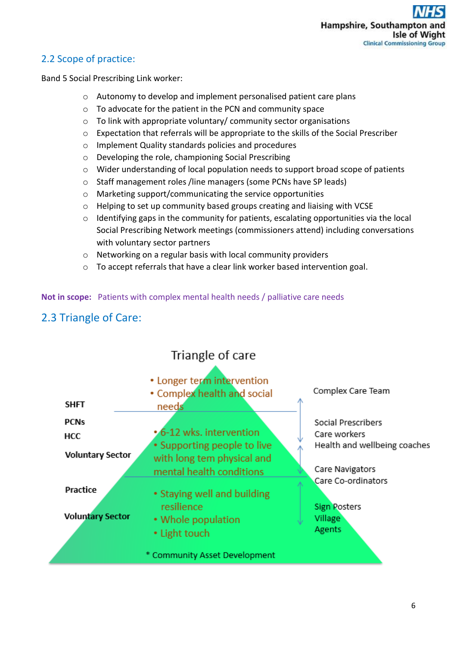## <span id="page-6-0"></span>2.2 Scope of practice:

Band 5 Social Prescribing Link worker:

- o Autonomy to develop and implement personalised patient care plans
- o To advocate for the patient in the PCN and community space
- o To link with appropriate voluntary/ community sector organisations
- o Expectation that referrals will be appropriate to the skills of the Social Prescriber
- o Implement Quality standards policies and procedures
- o Developing the role, championing Social Prescribing
- o Wider understanding of local population needs to support broad scope of patients
- o Staff management roles /line managers (some PCNs have SP leads)
- o Marketing support/communicating the service opportunities
- o Helping to set up community based groups creating and liaising with VCSE
- o Identifying gaps in the community for patients, escalating opportunities via the local Social Prescribing Network meetings (commissioners attend) including conversations with voluntary sector partners
- o Networking on a regular basis with local community providers
- <span id="page-6-1"></span>o To accept referrals that have a clear link worker based intervention goal.

**Not in scope:** Patients with complex mental health needs / palliative care needs

# 2.3 Triangle of Care:

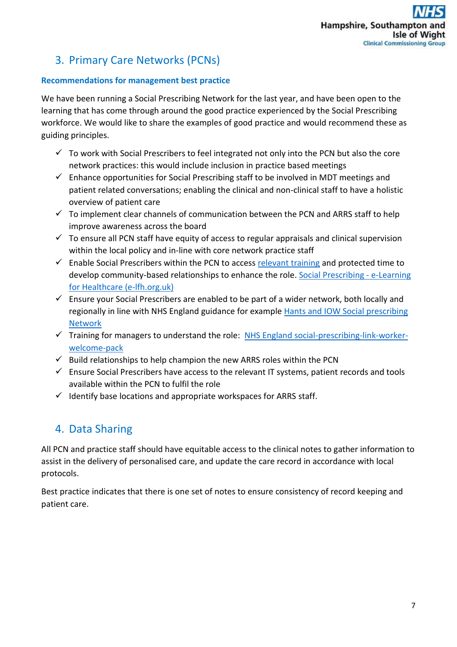# <span id="page-7-0"></span>3. Primary Care Networks (PCNs)

#### **Recommendations for management best practice**

We have been running a Social Prescribing Network for the last year, and have been open to the learning that has come through around the good practice experienced by the Social Prescribing workforce. We would like to share the examples of good practice and would recommend these as guiding principles.

- $\checkmark$  To work with Social Prescribers to feel integrated not only into the PCN but also the core network practices: this would include inclusion in practice based meetings
- $\checkmark$  Enhance opportunities for Social Prescribing staff to be involved in MDT meetings and patient related conversations; enabling the clinical and non-clinical staff to have a holistic overview of patient care
- $\checkmark$  To implement clear channels of communication between the PCN and ARRS staff to help improve awareness across the board
- $\checkmark$  To ensure all PCN staff have equity of access to regular appraisals and clinical supervision within the local policy and in-line with core network practice staff
- $\checkmark$  Enable Social Prescribers within the PCN to access [relevant training](https://www.personalisedcareinstitute.org.uk/) and protected time to develop community-based relationships to enhance the role. [Social Prescribing -](https://www.e-lfh.org.uk/programmes/social-prescribing/) e-Learning [for Healthcare \(e-lfh.org.uk\)](https://www.e-lfh.org.uk/programmes/social-prescribing/)
- $\checkmark$  Ensure your Social Prescribers are enabled to be part of a wider network, both locally and regionally in line with NHS England guidance for example [Hants and IOW Social prescribing](https://www.gva.org.uk/groups/social-prescribing/)  [Network](https://www.gva.org.uk/groups/social-prescribing/)
- $\checkmark$  Training for managers to understand the role: [NHS England social-prescribing-link-worker](https://www.england.nhs.uk/wp-content/uploads/2019/09/social-prescribing-link-worker-welcome-pack-web-2.pdf)[welcome-pack](https://www.england.nhs.uk/wp-content/uploads/2019/09/social-prescribing-link-worker-welcome-pack-web-2.pdf)
- $\checkmark$  Build relationships to help champion the new ARRS roles within the PCN
- $\checkmark$  Ensure Social Prescribers have access to the relevant IT systems, patient records and tools available within the PCN to fulfil the role
- $\checkmark$  Identify base locations and appropriate workspaces for ARRS staff.

## <span id="page-7-1"></span>4. Data Sharing

All PCN and practice staff should have equitable access to the clinical notes to gather information to assist in the delivery of personalised care, and update the care record in accordance with local protocols.

Best practice indicates that there is one set of notes to ensure consistency of record keeping and patient care.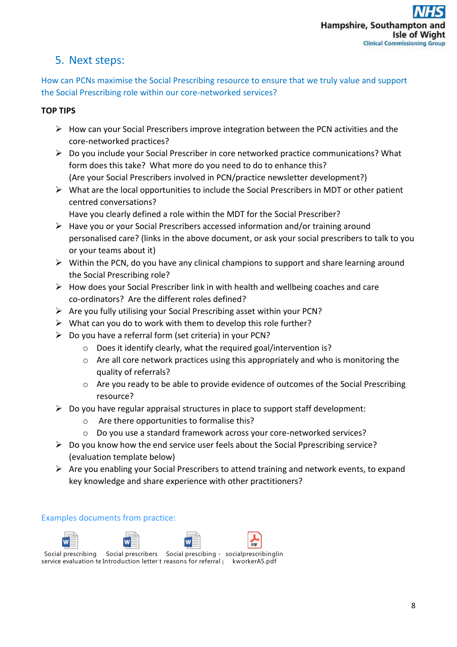## <span id="page-8-0"></span>5. Next steps:

How can PCNs maximise the Social Prescribing resource to ensure that we truly value and support the Social Prescribing role within our core-networked services?

### **TOP TIPS**

- $\triangleright$  How can your Social Prescribers improve integration between the PCN activities and the core-networked practices?
- $\triangleright$  Do you include your Social Prescriber in core networked practice communications? What form does this take? What more do you need to do to enhance this? (Are your Social Prescribers involved in PCN/practice newsletter development?)
- $\triangleright$  What are the local opportunities to include the Social Prescribers in MDT or other patient centred conversations?
	- Have you clearly defined a role within the MDT for the Social Prescriber?
- $\triangleright$  Have you or your Social Prescribers accessed information and/or training around personalised care? (links in the above document, or ask your social prescribers to talk to you or your teams about it)
- $\triangleright$  Within the PCN, do you have any clinical champions to support and share learning around the Social Prescribing role?
- $\triangleright$  How does your Social Prescriber link in with health and wellbeing coaches and care co-ordinators? Are the different roles defined?
- $\triangleright$  Are you fully utilising your Social Prescribing asset within your PCN?
- $\triangleright$  What can you do to work with them to develop this role further?
- $\triangleright$  Do you have a referral form (set criteria) in your PCN?
	- o Does it identify clearly, what the required goal/intervention is?
	- o Are all core network practices using this appropriately and who is monitoring the quality of referrals?
	- o Are you ready to be able to provide evidence of outcomes of the Social Prescribing resource?
- $\triangleright$  Do you have regular appraisal structures in place to support staff development:
	- Are there opportunities to formalise this?
	- o Do you use a standard framework across your core-networked services?
- $\triangleright$  Do you know how the end service user feels about the Social Pprescribing service? (evaluation template below)
- $\triangleright$  Are you enabling your Social Prescribers to attend training and network events, to expand key knowledge and share experience with other practitioners?

Examples documents from practice:









Social prescribing Social prescribers Social prescibing - socialprescribinglin service evaluation te Introduction letter t reasons for referral <sub>l</sub> kworkerA5.pdf